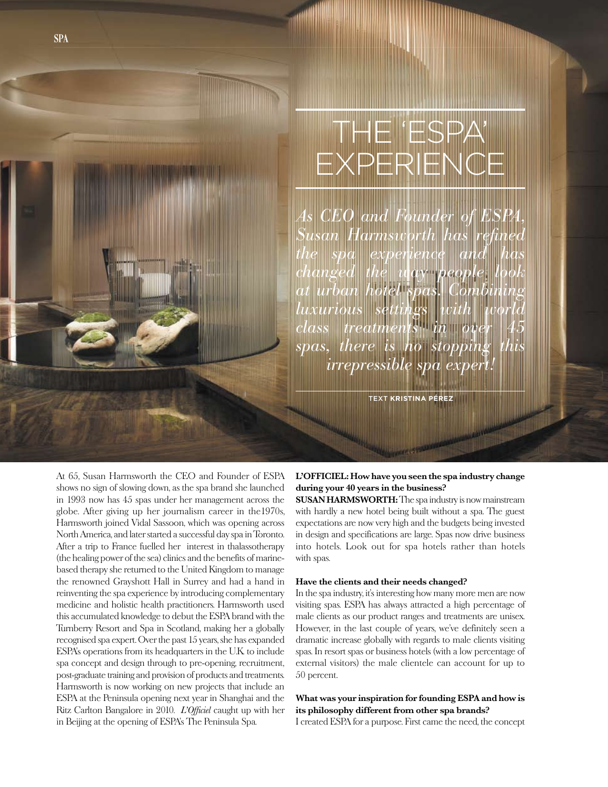# The 'ESPA' **EXPERIENCE**

*As CEO and Founder of ESPA, Susan Harmsworth has refined the spa experience and has changed the way people look at urban hotel spas. Combining luxurious settings with world class treatments in over 45 spas, there is no stopping this <u>irrepressible spa</u>* 

text **kristina Pérez**

At 65, Susan Harmsworth the CEO and Founder of ESPA shows no sign of slowing down, as the spa brand she launched in 1993 now has 45 spas under her management across the globe. After giving up her journalism career in the1970s, Harmsworth joined Vidal Sassoon, which was opening across North America, and later started a successful day spa in Toronto. After a trip to France fuelled her interest in thalassotherapy (the healing power of the sea) clinics and the benefits of marinebased therapy she returned to the United Kingdom to manage the renowned Grayshott Hall in Surrey and had a hand in reinventing the spa experience by introducing complementary medicine and holistic health practitioners. Harmsworth used this accumulated knowledge to debut the ESPA brand with the Turnberry Resort and Spa in Scotland, making her a globally recognised spa expert. Over the past 15 years, she has expanded ESPA's operations from its headquarters in the U.K. to include spa concept and design through to pre-opening, recruitment, post-graduate training and provision of products and treatments. Harmsworth is now working on new projects that include an ESPA at the Peninsula opening next year in Shanghai and the Ritz Carlton Bangalore in 2010. *L'Officiel* caught up with her in Beijing at the opening of ESPA's The Peninsula Spa.

## **L'OFFICIEL: How have you seen the spa industry change during your 40 years in the business?**

**SUSAN HARMSWORTH:** The spa industry is now mainstream with hardly a new hotel being built without a spa. The guest expectations are now very high and the budgets being invested in design and specifications are large. Spas now drive business into hotels. Look out for spa hotels rather than hotels with spas.

#### **Have the clients and their needs changed?**

In the spa industry, it's interesting how many more men are now visiting spas. ESPA has always attracted a high percentage of male clients as our product ranges and treatments are unisex. However, in the last couple of years, we've definitely seen a dramatic increase globally with regards to male clients visiting spas. In resort spas or business hotels (with a low percentage of external visitors) the male clientele can account for up to 50 percent.

# **What was your inspiration for founding ESPA and how is its philosophy different from other spa brands?**

I created ESPA for a purpose. First came the need, the concept